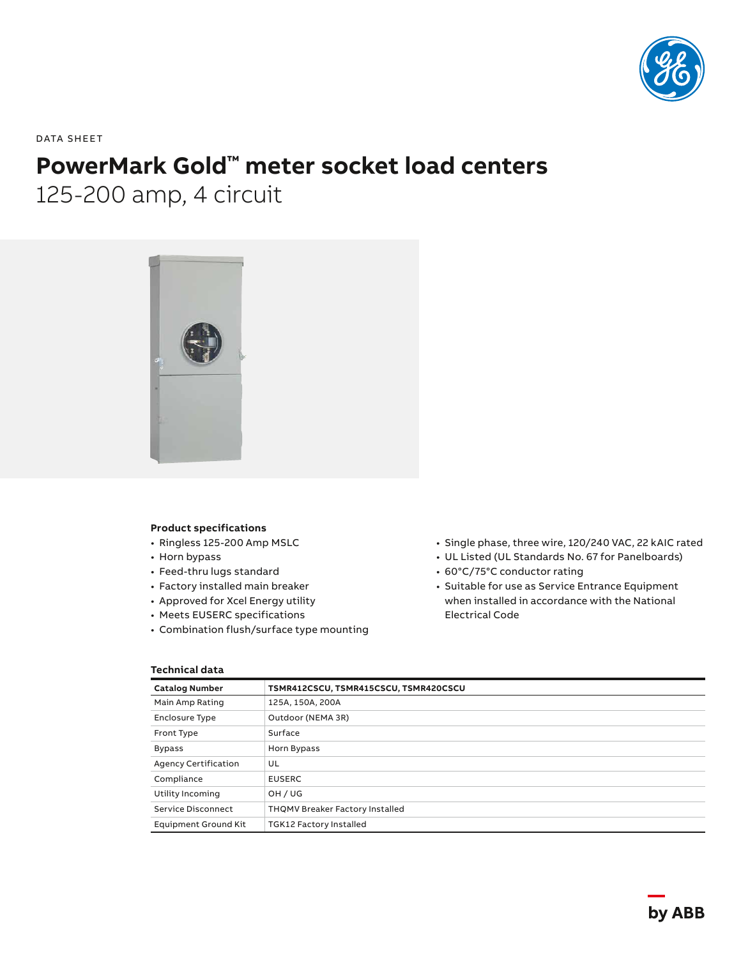

DATA SHEET

# **PowerMark Gold™ meter socket load centers**

125-200 amp, 4 circuit



### **Product specifications**

- Ringless 125-200 Amp MSLC
- Horn bypass
- Feed-thru lugs standard
- Factory installed main breaker
- Approved for Xcel Energy utility
- Meets EUSERC specifications
- Combination flush/surface type mounting
- Single phase, three wire, 120/240 VAC, 22 kAIC rated
- UL Listed (UL Standards No. 67 for Panelboards)
- 60°C/75°C conductor rating
- Suitable for use as Service Entrance Equipment when installed in accordance with the National Electrical Code

## **Technical data**

| <b>Catalog Number</b>       | TSMR412CSCU, TSMR415CSCU, TSMR420CSCU |  |  |  |
|-----------------------------|---------------------------------------|--|--|--|
| Main Amp Rating             | 125A, 150A, 200A                      |  |  |  |
| <b>Enclosure Type</b>       | Outdoor (NEMA 3R)                     |  |  |  |
| Front Type                  | Surface                               |  |  |  |
| <b>Bypass</b>               | Horn Bypass                           |  |  |  |
| Agency Certification        | UL                                    |  |  |  |
| Compliance                  | <b>EUSERC</b>                         |  |  |  |
| Utility Incoming            | OH / UG                               |  |  |  |
| <b>Service Disconnect</b>   | THQMV Breaker Factory Installed       |  |  |  |
| <b>Equipment Ground Kit</b> | TGK12 Factory Installed               |  |  |  |